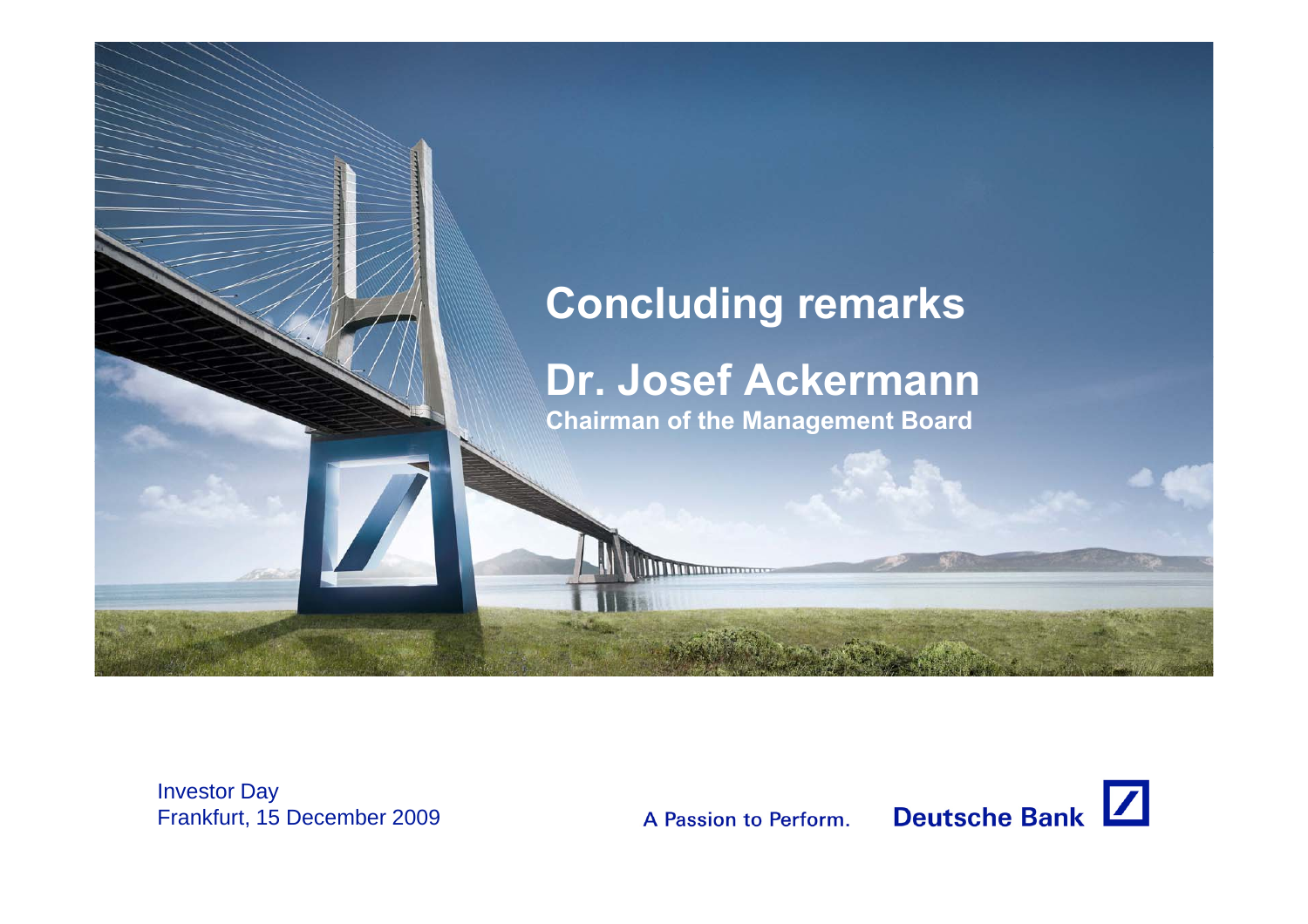

Investor Day Frankfurt, 15 December 2009

A Passion to Perform.

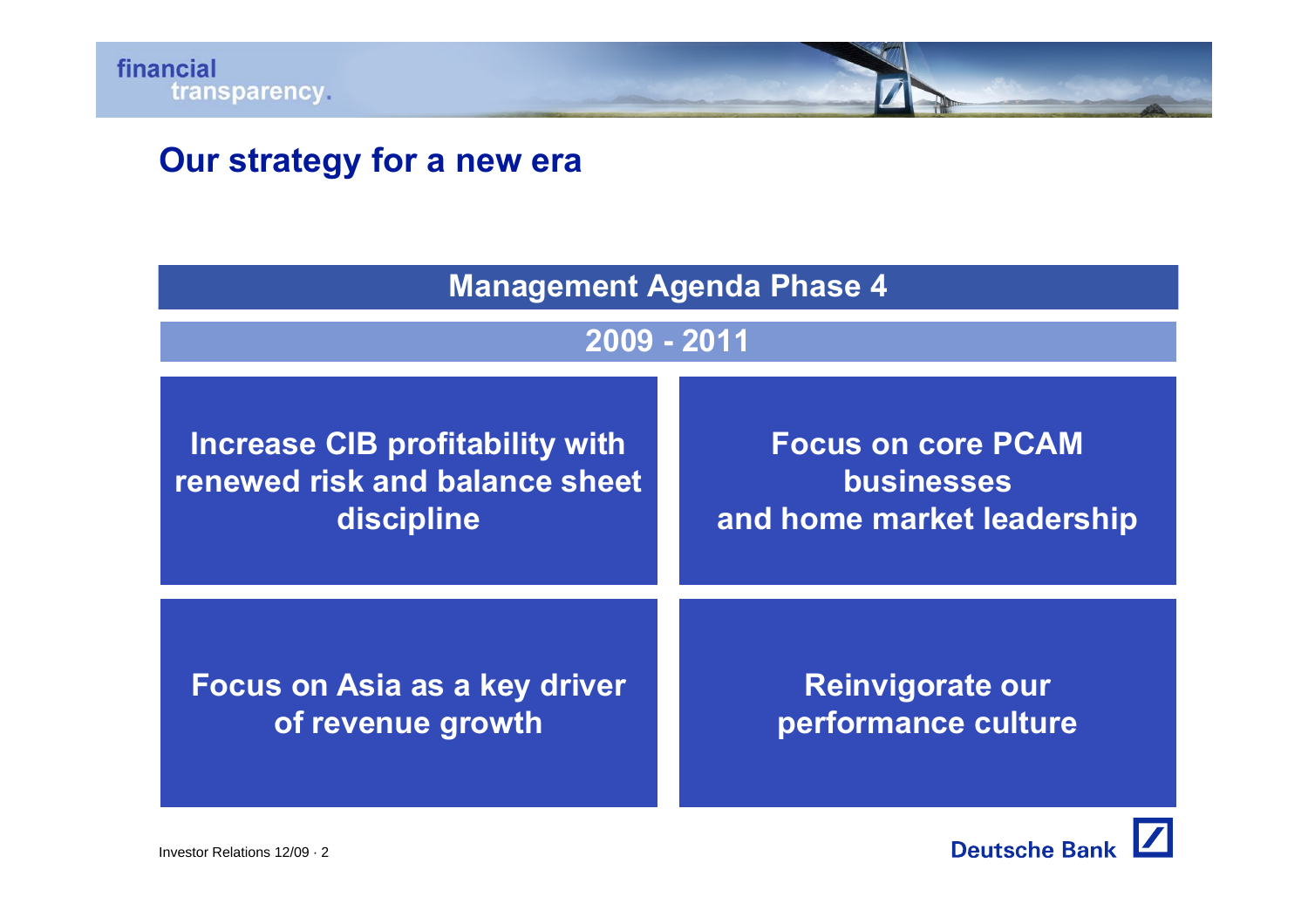# **Our strategy for a new era**

| <b>Management Agenda Phase 4</b> |                            |  |
|----------------------------------|----------------------------|--|
| 2009 - 2011                      |                            |  |
| Increase CIB profitability with  | <b>Focus on core PCAM</b>  |  |
| renewed risk and balance sheet   | <b>businesses</b>          |  |
| discipline                       | and home market leadership |  |
| Focus on Asia as a key driver    | <b>Reinvigorate our</b>    |  |
| of revenue growth                | performance culture        |  |

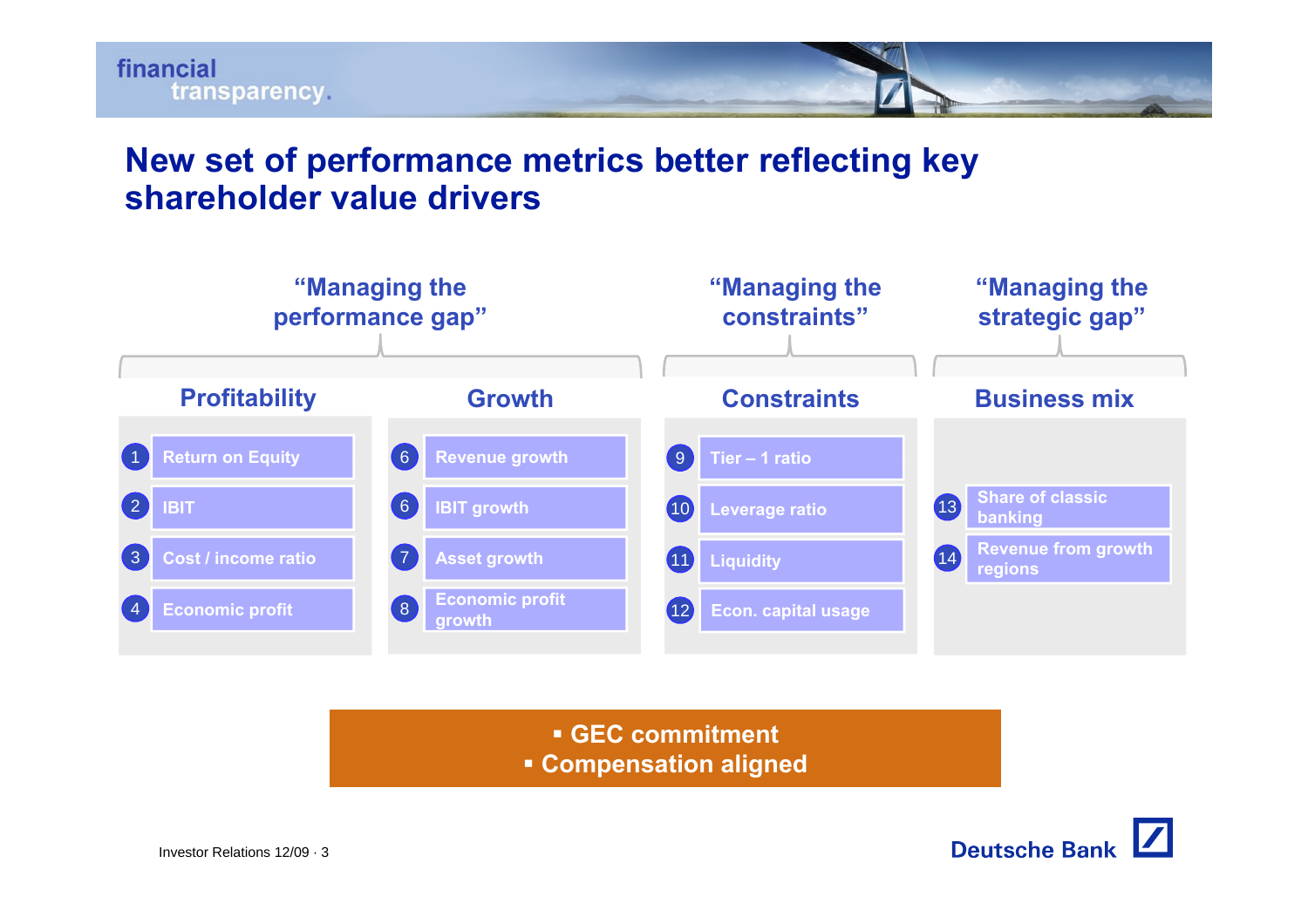

## **New set of performance metrics better reflecting key shareholder value drivers**



**GEC commitment**

**• Compensation aligned** 

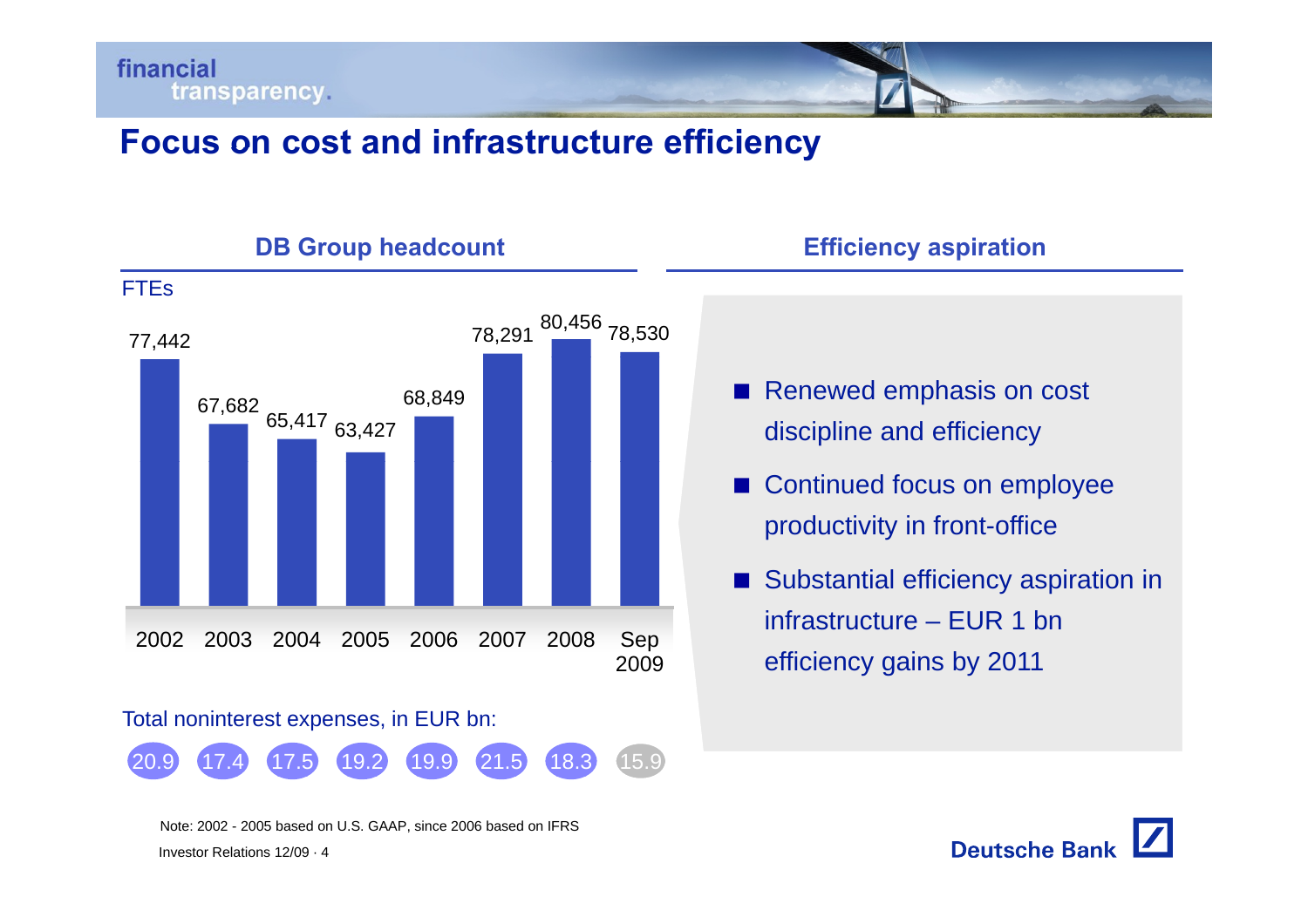

# **Focus on cost and infrastructure efficiency infrastructure**



#### **DB** Group headcount **<b>Efficiency** aspiration

- Renewed emphasis on cost discipline and efficiency
- Continued focus on employee productivity in front-office
- Substantial efficiency aspiration in infrastructure – EUR 1 bnefficienc y gains b y 2011 yg y

Investor Relations 12/09 · 4Note: 2002 - 2005 based on U.S. GAAP, since 2006 based on IFRS **Deutsche Bank**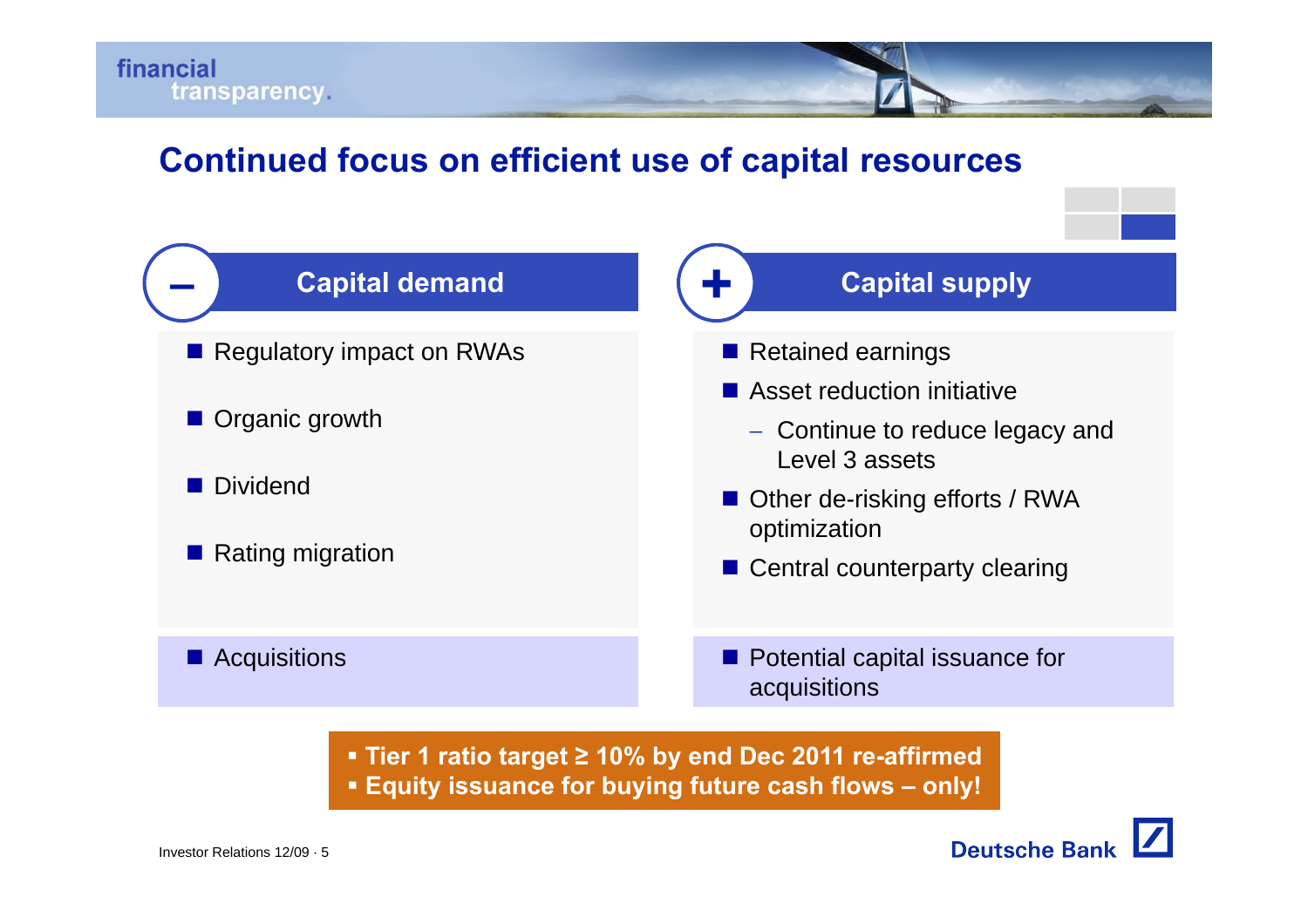

## **Continued focus on efficient use of capital resources**



 **Tier 1 ratio target ≥ 10% by end Dec 2011 re-affirmed Equity issuance for buying future cash flows – only!**

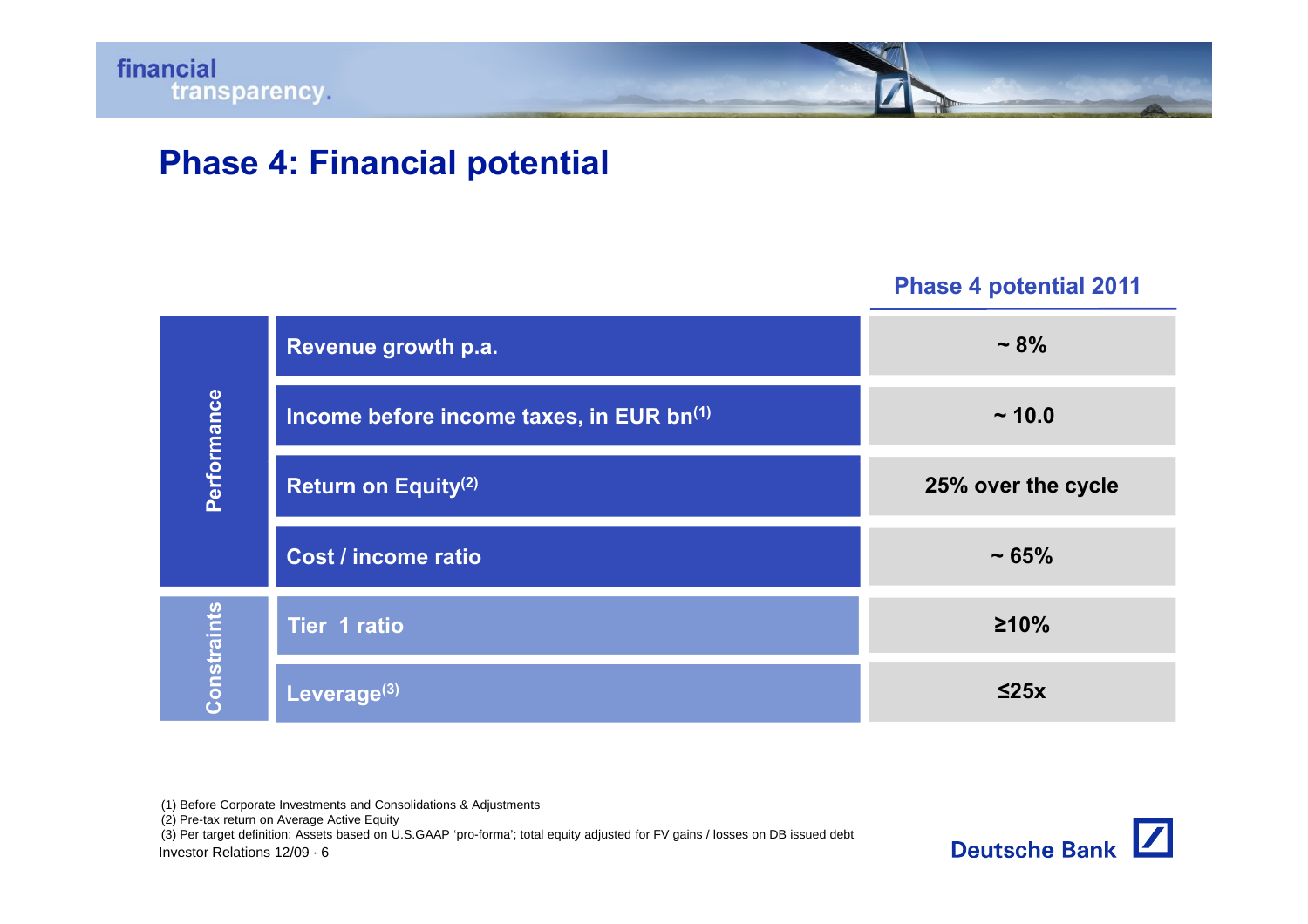# **Phase 4: Financial potential**

**Phase 4 potential 2011**

| Performance | Revenue growth p.a.                      | $~10^{9}$          |
|-------------|------------------------------------------|--------------------|
|             | Income before income taxes, in EUR bn(1) | ~10.0              |
|             | <b>Return on Equity(2)</b>               | 25% over the cycle |
|             | Cost / income ratio                      | ~1.65%             |
| Constraints | <b>Tier 1 ratio</b>                      | $\geq 10\%$        |
|             | Leverage <sup>(3)</sup>                  | $\leq$ 25x         |

(1) Before Corporate Investments and Consolidations & Adjustments

(2) Pre-tax return on Average Active Equity

(3) Per target definition: Assets based on U.S.GAAP 'pro-forma'; total equity adjusted for FV gains / losses on DB issued debt

Investor Relations 12/09 · 6

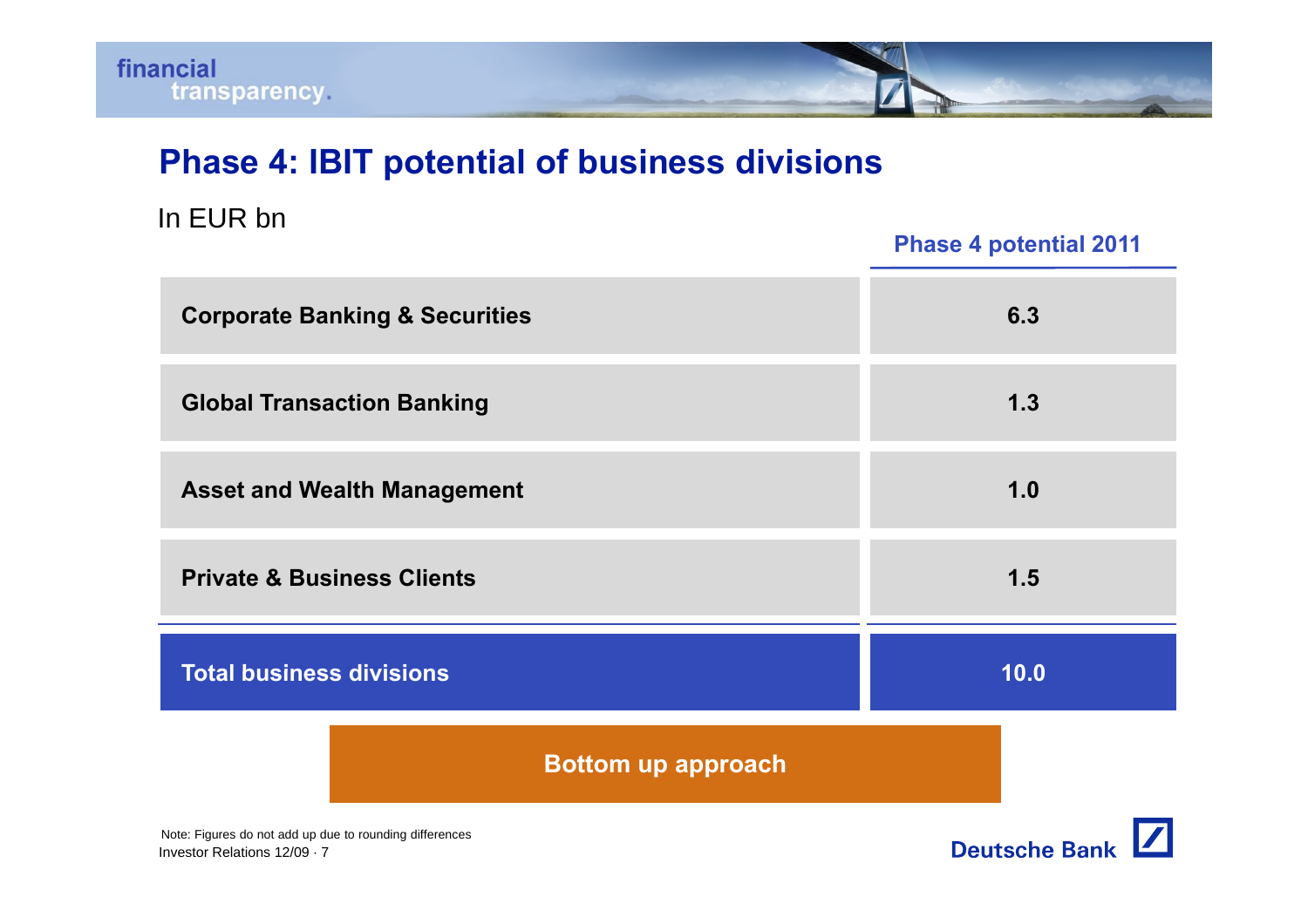# **Phase 4: IBIT potential of business divisions**

#### In EUR bn

#### **Phase 4 potential 2011**

| <b>Corporate Banking &amp; Securities</b> | 6.3  |
|-------------------------------------------|------|
| <b>Global Transaction Banking</b>         | 1.3  |
| <b>Asset and Wealth Management</b>        | 1.0  |
| <b>Private &amp; Business Clients</b>     | 1.5  |
| <b>Total business divisions</b>           | 10.0 |
| <b>Bottom up approach</b>                 |      |

Investor Relations 12/09 · 7Note: Figures do not add up due to rounding differences

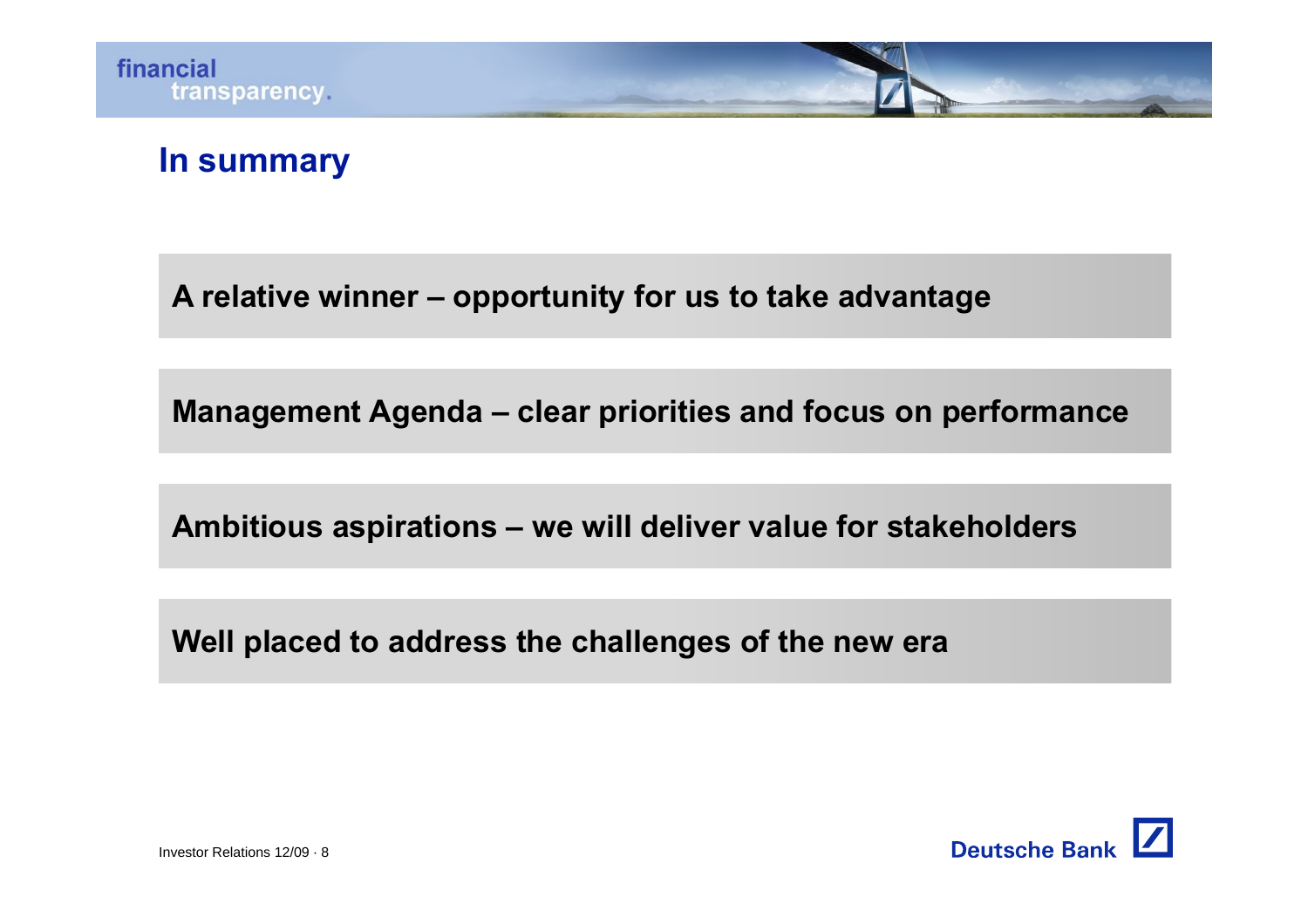# **In summary**

**A relative winner – opportunity for us to take advantage**

**Management Agenda – clear priorities and focus on performance**

**Ambitious aspirations – we will deliver value for stakeholders**

**Well placed to address the challenges of the new era**